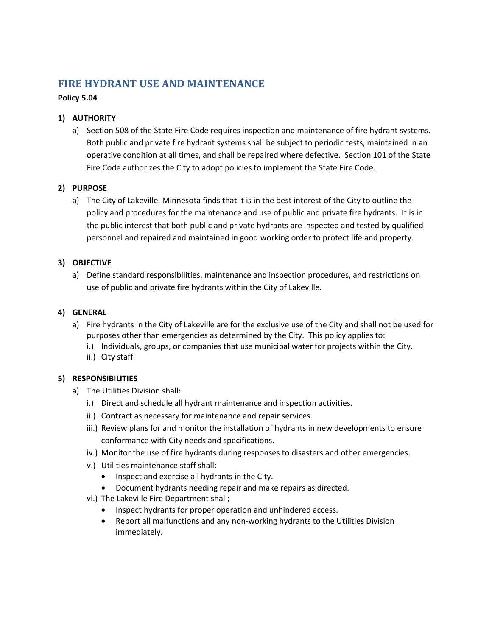# **FIRE HYDRANT USE AND MAINTENANCE**

## **Policy 5.04**

# **1) AUTHORITY**

a) Section 508 of the State Fire Code requires inspection and maintenance of fire hydrant systems. Both public and private fire hydrant systems shall be subject to periodic tests, maintained in an operative condition at all times, and shall be repaired where defective. Section 101 of the State Fire Code authorizes the City to adopt policies to implement the State Fire Code.

## **2) PURPOSE**

a) The City of Lakeville, Minnesota finds that it is in the best interest of the City to outline the policy and procedures for the maintenance and use of public and private fire hydrants. It is in the public interest that both public and private hydrants are inspected and tested by qualified personnel and repaired and maintained in good working order to protect life and property.

## **3) OBJECTIVE**

a) Define standard responsibilities, maintenance and inspection procedures, and restrictions on use of public and private fire hydrants within the City of Lakeville.

## **4) GENERAL**

- a) Fire hydrants in the City of Lakeville are for the exclusive use of the City and shall not be used for purposes other than emergencies as determined by the City. This policy applies to:
	- i.) Individuals, groups, or companies that use municipal water for projects within the City.
	- ii.) City staff.

## **5) RESPONSIBILITIES**

- a) The Utilities Division shall:
	- i.) Direct and schedule all hydrant maintenance and inspection activities.
	- ii.) Contract as necessary for maintenance and repair services.
	- iii.) Review plans for and monitor the installation of hydrants in new developments to ensure conformance with City needs and specifications.
	- iv.) Monitor the use of fire hydrants during responses to disasters and other emergencies.
	- v.) Utilities maintenance staff shall:
		- Inspect and exercise all hydrants in the City.
		- Document hydrants needing repair and make repairs as directed.
	- vi.) The Lakeville Fire Department shall;
		- Inspect hydrants for proper operation and unhindered access.
		- Report all malfunctions and any non-working hydrants to the Utilities Division immediately.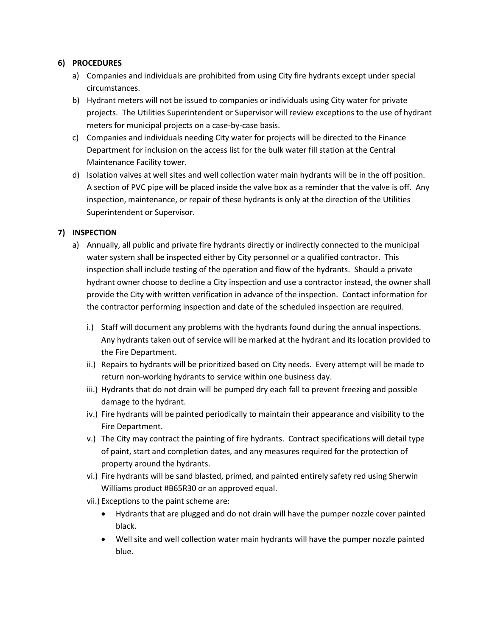#### **6) PROCEDURES**

- a) Companies and individuals are prohibited from using City fire hydrants except under special circumstances.
- b) Hydrant meters will not be issued to companies or individuals using City water for private projects. The Utilities Superintendent or Supervisor will review exceptions to the use of hydrant meters for municipal projects on a case-by-case basis.
- c) Companies and individuals needing City water for projects will be directed to the Finance Department for inclusion on the access list for the bulk water fill station at the Central Maintenance Facility tower.
- d) Isolation valves at well sites and well collection water main hydrants will be in the off position. A section of PVC pipe will be placed inside the valve box as a reminder that the valve is off. Any inspection, maintenance, or repair of these hydrants is only at the direction of the Utilities Superintendent or Supervisor.

## **7) INSPECTION**

- a) Annually, all public and private fire hydrants directly or indirectly connected to the municipal water system shall be inspected either by City personnel or a qualified contractor. This inspection shall include testing of the operation and flow of the hydrants. Should a private hydrant owner choose to decline a City inspection and use a contractor instead, the owner shall provide the City with written verification in advance of the inspection. Contact information for the contractor performing inspection and date of the scheduled inspection are required.
	- i.) Staff will document any problems with the hydrants found during the annual inspections. Any hydrants taken out of service will be marked at the hydrant and its location provided to the Fire Department.
	- ii.) Repairs to hydrants will be prioritized based on City needs. Every attempt will be made to return non-working hydrants to service within one business day.
	- iii.) Hydrants that do not drain will be pumped dry each fall to prevent freezing and possible damage to the hydrant.
	- iv.) Fire hydrants will be painted periodically to maintain their appearance and visibility to the Fire Department.
	- v.) The City may contract the painting of fire hydrants. Contract specifications will detail type of paint, start and completion dates, and any measures required for the protection of property around the hydrants.
	- vi.) Fire hydrants will be sand blasted, primed, and painted entirely safety red using Sherwin Williams product #B65R30 or an approved equal.
	- vii.) Exceptions to the paint scheme are:
		- Hydrants that are plugged and do not drain will have the pumper nozzle cover painted black.
		- Well site and well collection water main hydrants will have the pumper nozzle painted blue.